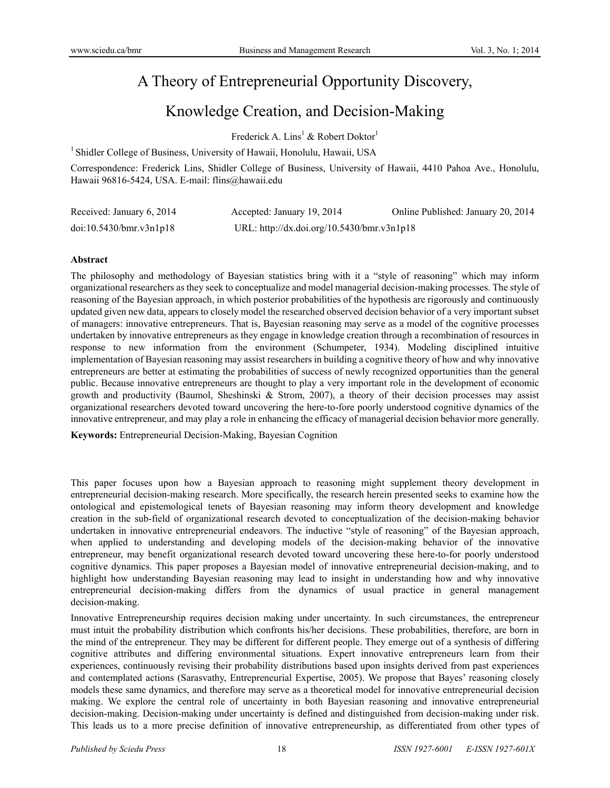# A Theory of Entrepreneurial Opportunity Discovery,

# Knowledge Creation, and Decision-Making

Frederick A.  $\text{Lins}^1$  & Robert Doktor<sup>1</sup>

<sup>1</sup> Shidler College of Business, University of Hawaii, Honolulu, Hawaii, USA

Correspondence: Frederick Lins, Shidler College of Business, University of Hawaii, 4410 Pahoa Ave., Honolulu, Hawaii 96816-5424, USA. E-mail: flins@hawaii.edu

| Received: January 6, 2014 | Accepted: January 19, 2014                 | Online Published: January 20, 2014 |
|---------------------------|--------------------------------------------|------------------------------------|
| doi:10.5430/bmr.v3n1p18   | URL: http://dx.doi.org/10.5430/bmr.v3n1p18 |                                    |

### **Abstract**

The philosophy and methodology of Bayesian statistics bring with it a "style of reasoning" which may inform organizational researchers as they seek to conceptualize and model managerial decision-making processes. The style of reasoning of the Bayesian approach, in which posterior probabilities of the hypothesis are rigorously and continuously updated given new data, appears to closely model the researched observed decision behavior of a very important subset of managers: innovative entrepreneurs. That is, Bayesian reasoning may serve as a model of the cognitive processes undertaken by innovative entrepreneurs as they engage in knowledge creation through a recombination of resources in response to new information from the environment (Schumpeter, 1934). Modeling disciplined intuitive implementation of Bayesian reasoning may assist researchers in building a cognitive theory of how and why innovative entrepreneurs are better at estimating the probabilities of success of newly recognized opportunities than the general public. Because innovative entrepreneurs are thought to play a very important role in the development of economic growth and productivity (Baumol, Sheshinski & Strom, 2007), a theory of their decision processes may assist organizational researchers devoted toward uncovering the here-to-fore poorly understood cognitive dynamics of the innovative entrepreneur, and may play a role in enhancing the efficacy of managerial decision behavior more generally.

**Keywords:** Entrepreneurial Decision-Making, Bayesian Cognition

This paper focuses upon how a Bayesian approach to reasoning might supplement theory development in entrepreneurial decision-making research. More specifically, the research herein presented seeks to examine how the ontological and epistemological tenets of Bayesian reasoning may inform theory development and knowledge creation in the sub-field of organizational research devoted to conceptualization of the decision-making behavior undertaken in innovative entrepreneurial endeavors. The inductive "style of reasoning" of the Bayesian approach, when applied to understanding and developing models of the decision-making behavior of the innovative entrepreneur, may benefit organizational research devoted toward uncovering these here-to-for poorly understood cognitive dynamics. This paper proposes a Bayesian model of innovative entrepreneurial decision-making, and to highlight how understanding Bayesian reasoning may lead to insight in understanding how and why innovative entrepreneurial decision-making differs from the dynamics of usual practice in general management decision-making.

Innovative Entrepreneurship requires decision making under uncertainty. In such circumstances, the entrepreneur must intuit the probability distribution which confronts his/her decisions. These probabilities, therefore, are born in the mind of the entrepreneur. They may be different for different people. They emerge out of a synthesis of differing cognitive attributes and differing environmental situations. Expert innovative entrepreneurs learn from their experiences, continuously revising their probability distributions based upon insights derived from past experiences and contemplated actions (Sarasvathy, Entrepreneurial Expertise, 2005). We propose that Bayes' reasoning closely models these same dynamics, and therefore may serve as a theoretical model for innovative entrepreneurial decision making. We explore the central role of uncertainty in both Bayesian reasoning and innovative entrepreneurial decision-making. Decision-making under uncertainty is defined and distinguished from decision-making under risk. This leads us to a more precise definition of innovative entrepreneurship, as differentiated from other types of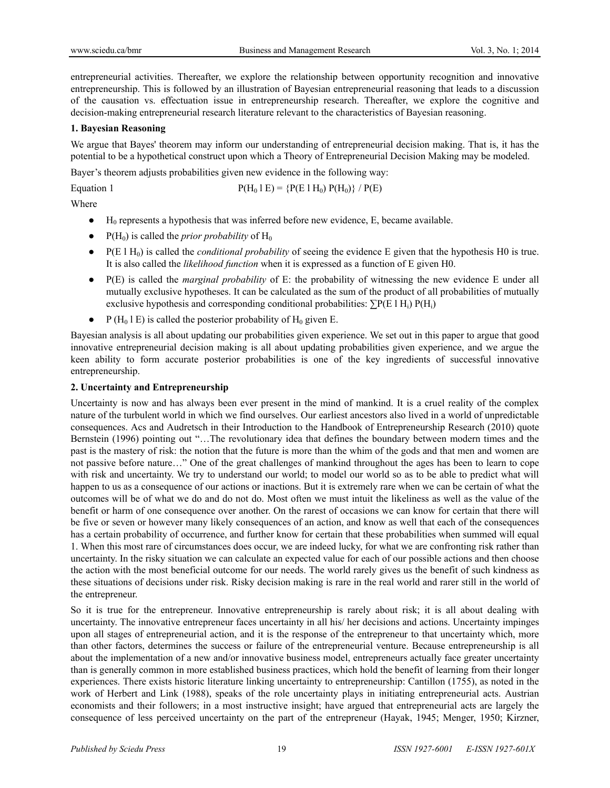entrepreneurial activities. Thereafter, we explore the relationship between opportunity recognition and innovative entrepreneurship. This is followed by an illustration of Bayesian entrepreneurial reasoning that leads to a discussion of the causation vs. effectuation issue in entrepreneurship research. Thereafter, we explore the cognitive and decision-making entrepreneurial research literature relevant to the characteristics of Bayesian reasoning.

## **1. Bayesian Reasoning**

We argue that Bayes' theorem may inform our understanding of entrepreneurial decision making. That is, it has the potential to be a hypothetical construct upon which a Theory of Entrepreneurial Decision Making may be modeled.

Bayer's theorem adjusts probabilities given new evidence in the following way:

Equation 1  $P(H_0 1 E) = {P(E 1 H_0) P(H_0)} / P(E)$ 

Where

- $\bullet$  H<sub>0</sub> represents a hypothesis that was inferred before new evidence, E, became available.
- $\bullet$  P(H<sub>0</sub>) is called the *prior probability* of H<sub>0</sub>
- $\bullet$  P(E 1 H<sub>0</sub>) is called the *conditional probability* of seeing the evidence E given that the hypothesis H0 is true. It is also called the *likelihood function* when it is expressed as a function of E given H0.
- P(E) is called the *marginal probability* of E: the probability of witnessing the new evidence E under all mutually exclusive hypotheses. It can be calculated as the sum of the product of all probabilities of mutually exclusive hypothesis and corresponding conditional probabilities:  $\sum P(E \mid H_i) P(H_i)$
- P (H<sub>0</sub> l E) is called the posterior probability of H<sub>0</sub> given E.

Bayesian analysis is all about updating our probabilities given experience. We set out in this paper to argue that good innovative entrepreneurial decision making is all about updating probabilities given experience, and we argue the keen ability to form accurate posterior probabilities is one of the key ingredients of successful innovative entrepreneurship.

### **2. Uncertainty and Entrepreneurship**

Uncertainty is now and has always been ever present in the mind of mankind. It is a cruel reality of the complex nature of the turbulent world in which we find ourselves. Our earliest ancestors also lived in a world of unpredictable consequences. Acs and Audretsch in their Introduction to the Handbook of Entrepreneurship Research (2010) quote Bernstein (1996) pointing out "…The revolutionary idea that defines the boundary between modern times and the past is the mastery of risk: the notion that the future is more than the whim of the gods and that men and women are not passive before nature…" One of the great challenges of mankind throughout the ages has been to learn to cope with risk and uncertainty. We try to understand our world; to model our world so as to be able to predict what will happen to us as a consequence of our actions or inactions. But it is extremely rare when we can be certain of what the outcomes will be of what we do and do not do. Most often we must intuit the likeliness as well as the value of the benefit or harm of one consequence over another. On the rarest of occasions we can know for certain that there will be five or seven or however many likely consequences of an action, and know as well that each of the consequences has a certain probability of occurrence, and further know for certain that these probabilities when summed will equal 1. When this most rare of circumstances does occur, we are indeed lucky, for what we are confronting risk rather than uncertainty. In the risky situation we can calculate an expected value for each of our possible actions and then choose the action with the most beneficial outcome for our needs. The world rarely gives us the benefit of such kindness as these situations of decisions under risk. Risky decision making is rare in the real world and rarer still in the world of the entrepreneur.

So it is true for the entrepreneur. Innovative entrepreneurship is rarely about risk; it is all about dealing with uncertainty. The innovative entrepreneur faces uncertainty in all his/ her decisions and actions. Uncertainty impinges upon all stages of entrepreneurial action, and it is the response of the entrepreneur to that uncertainty which, more than other factors, determines the success or failure of the entrepreneurial venture. Because entrepreneurship is all about the implementation of a new and/or innovative business model, entrepreneurs actually face greater uncertainty than is generally common in more established business practices, which hold the benefit of learning from their longer experiences. There exists historic literature linking uncertainty to entrepreneurship: Cantillon (1755), as noted in the work of Herbert and Link (1988), speaks of the role uncertainty plays in initiating entrepreneurial acts. Austrian economists and their followers; in a most instructive insight; have argued that entrepreneurial acts are largely the consequence of less perceived uncertainty on the part of the entrepreneur (Hayak, 1945; Menger, 1950; Kirzner,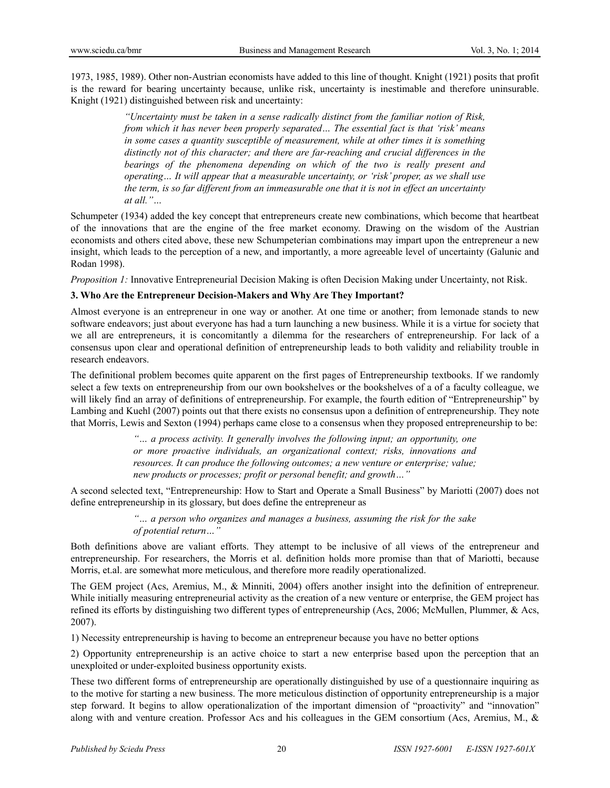1973, 1985, 1989). Other non-Austrian economists have added to this line of thought. Knight (1921) posits that profit is the reward for bearing uncertainty because, unlike risk, uncertainty is inestimable and therefore uninsurable. Knight (1921) distinguished between risk and uncertainty:

> *"Uncertainty must be taken in a sense radically distinct from the familiar notion of Risk, from which it has never been properly separated… The essential fact is that 'risk' means in some cases a quantity susceptible of measurement, while at other times it is something distinctly not of this character; and there are far-reaching and crucial differences in the bearings of the phenomena depending on which of the two is really present and operating… It will appear that a measurable uncertainty, or 'risk' proper, as we shall use the term, is so far different from an immeasurable one that it is not in effect an uncertainty at all."…*

Schumpeter (1934) added the key concept that entrepreneurs create new combinations, which become that heartbeat of the innovations that are the engine of the free market economy. Drawing on the wisdom of the Austrian economists and others cited above, these new Schumpeterian combinations may impart upon the entrepreneur a new insight, which leads to the perception of a new, and importantly, a more agreeable level of uncertainty (Galunic and Rodan 1998).

*Proposition 1:* Innovative Entrepreneurial Decision Making is often Decision Making under Uncertainty, not Risk.

## **3. Who Are the Entrepreneur Decision-Makers and Why Are They Important?**

Almost everyone is an entrepreneur in one way or another. At one time or another; from lemonade stands to new software endeavors; just about everyone has had a turn launching a new business. While it is a virtue for society that we all are entrepreneurs, it is concomitantly a dilemma for the researchers of entrepreneurship. For lack of a consensus upon clear and operational definition of entrepreneurship leads to both validity and reliability trouble in research endeavors.

The definitional problem becomes quite apparent on the first pages of Entrepreneurship textbooks. If we randomly select a few texts on entrepreneurship from our own bookshelves or the bookshelves of a of a faculty colleague, we will likely find an array of definitions of entrepreneurship. For example, the fourth edition of "Entrepreneurship" by Lambing and Kuehl (2007) points out that there exists no consensus upon a definition of entrepreneurship. They note that Morris, Lewis and Sexton (1994) perhaps came close to a consensus when they proposed entrepreneurship to be:

> *"… a process activity. It generally involves the following input; an opportunity, one or more proactive individuals, an organizational context; risks, innovations and resources. It can produce the following outcomes; a new venture or enterprise; value; new products or processes; profit or personal benefit; and growth…"*

A second selected text, "Entrepreneurship: How to Start and Operate a Small Business" by Mariotti (2007) does not define entrepreneurship in its glossary, but does define the entrepreneur as

> *"… a person who organizes and manages a business, assuming the risk for the sake of potential return…"*

Both definitions above are valiant efforts. They attempt to be inclusive of all views of the entrepreneur and entrepreneurship. For researchers, the Morris et al. definition holds more promise than that of Mariotti, because Morris, et.al. are somewhat more meticulous, and therefore more readily operationalized.

The GEM project (Acs, Aremius, M., & Minniti, 2004) offers another insight into the definition of entrepreneur. While initially measuring entrepreneurial activity as the creation of a new venture or enterprise, the GEM project has refined its efforts by distinguishing two different types of entrepreneurship (Acs, 2006; McMullen, Plummer, & Acs, 2007).

1) Necessity entrepreneurship is having to become an entrepreneur because you have no better options

2) Opportunity entrepreneurship is an active choice to start a new enterprise based upon the perception that an unexploited or under-exploited business opportunity exists.

These two different forms of entrepreneurship are operationally distinguished by use of a questionnaire inquiring as to the motive for starting a new business. The more meticulous distinction of opportunity entrepreneurship is a major step forward. It begins to allow operationalization of the important dimension of "proactivity" and "innovation" along with and venture creation. Professor Acs and his colleagues in the GEM consortium (Acs, Aremius, M., &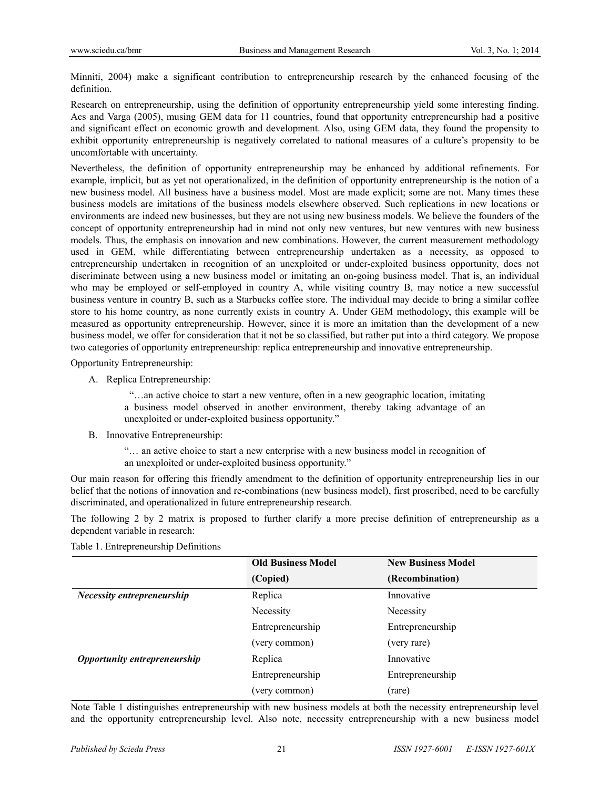Minniti, 2004) make a significant contribution to entrepreneurship research by the enhanced focusing of the definition.

Research on entrepreneurship, using the definition of opportunity entrepreneurship yield some interesting finding. Acs and Varga (2005), musing GEM data for 11 countries, found that opportunity entrepreneurship had a positive and significant effect on economic growth and development. Also, using GEM data, they found the propensity to exhibit opportunity entrepreneurship is negatively correlated to national measures of a culture's propensity to be uncomfortable with uncertainty.

Nevertheless, the definition of opportunity entrepreneurship may be enhanced by additional refinements. For example, implicit, but as yet not operationalized, in the definition of opportunity entrepreneurship is the notion of a new business model. All business have a business model. Most are made explicit; some are not. Many times these business models are imitations of the business models elsewhere observed. Such replications in new locations or environments are indeed new businesses, but they are not using new business models. We believe the founders of the concept of opportunity entrepreneurship had in mind not only new ventures, but new ventures with new business models. Thus, the emphasis on innovation and new combinations. However, the current measurement methodology used in GEM, while differentiating between entrepreneurship undertaken as a necessity, as opposed to entrepreneurship undertaken in recognition of an unexploited or under-exploited business opportunity, does not discriminate between using a new business model or imitating an on-going business model. That is, an individual who may be employed or self-employed in country A, while visiting country B, may notice a new successful business venture in country B, such as a Starbucks coffee store. The individual may decide to bring a similar coffee store to his home country, as none currently exists in country A. Under GEM methodology, this example will be measured as opportunity entrepreneurship. However, since it is more an imitation than the development of a new business model, we offer for consideration that it not be so classified, but rather put into a third category. We propose two categories of opportunity entrepreneurship: replica entrepreneurship and innovative entrepreneurship.

Opportunity Entrepreneurship:

A. Replica Entrepreneurship:

 "…an active choice to start a new venture, often in a new geographic location, imitating a business model observed in another environment, thereby taking advantage of an unexploited or under-exploited business opportunity."

B. Innovative Entrepreneurship:

"… an active choice to start a new enterprise with a new business model in recognition of an unexploited or under-exploited business opportunity."

Our main reason for offering this friendly amendment to the definition of opportunity entrepreneurship lies in our belief that the notions of innovation and re-combinations (new business model), first proscribed, need to be carefully discriminated, and operationalized in future entrepreneurship research.

The following 2 by 2 matrix is proposed to further clarify a more precise definition of entrepreneurship as a dependent variable in research:

|                                     | <b>Old Business Model</b> | <b>New Business Model</b> |  |
|-------------------------------------|---------------------------|---------------------------|--|
|                                     | (Copied)                  | (Recombination)           |  |
| <b>Necessity entrepreneurship</b>   | Replica                   | Innovative                |  |
|                                     | Necessity                 | Necessity                 |  |
|                                     | Entrepreneurship          | Entrepreneurship          |  |
|                                     | (very common)             | (very rare)               |  |
| <b>Opportunity entrepreneurship</b> | Replica                   | Innovative                |  |
|                                     | Entrepreneurship          | Entrepreneurship          |  |
|                                     | (very common)             | (rare)                    |  |

Table 1. Entrepreneurship Definitions

Note Table 1 distinguishes entrepreneurship with new business models at both the necessity entrepreneurship level and the opportunity entrepreneurship level. Also note, necessity entrepreneurship with a new business model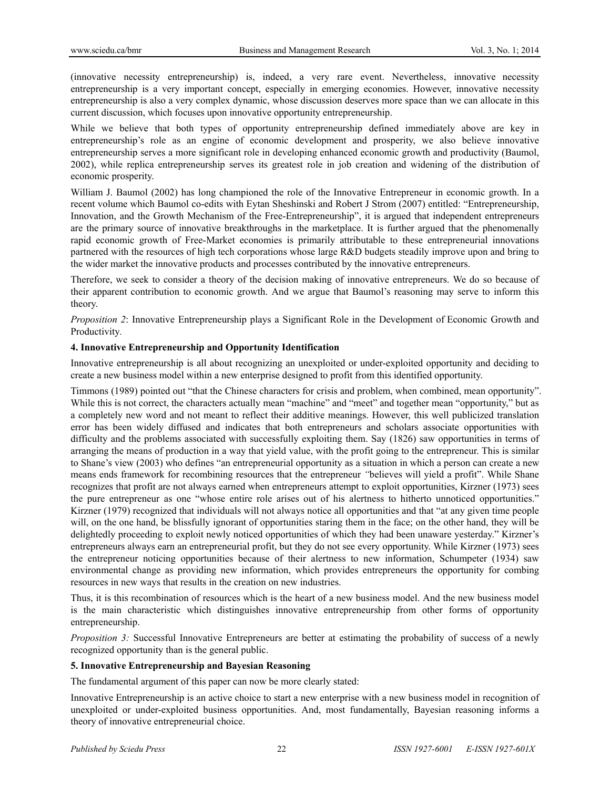(innovative necessity entrepreneurship) is, indeed, a very rare event. Nevertheless, innovative necessity entrepreneurship is a very important concept, especially in emerging economies. However, innovative necessity entrepreneurship is also a very complex dynamic, whose discussion deserves more space than we can allocate in this current discussion, which focuses upon innovative opportunity entrepreneurship.

While we believe that both types of opportunity entrepreneurship defined immediately above are key in entrepreneurship's role as an engine of economic development and prosperity, we also believe innovative entrepreneurship serves a more significant role in developing enhanced economic growth and productivity (Baumol, 2002), while replica entrepreneurship serves its greatest role in job creation and widening of the distribution of economic prosperity.

William J. Baumol (2002) has long championed the role of the Innovative Entrepreneur in economic growth. In a recent volume which Baumol co-edits with Eytan Sheshinski and Robert J Strom (2007) entitled: "Entrepreneurship, Innovation, and the Growth Mechanism of the Free-Entrepreneurship", it is argued that independent entrepreneurs are the primary source of innovative breakthroughs in the marketplace. It is further argued that the phenomenally rapid economic growth of Free-Market economies is primarily attributable to these entrepreneurial innovations partnered with the resources of high tech corporations whose large R&D budgets steadily improve upon and bring to the wider market the innovative products and processes contributed by the innovative entrepreneurs.

Therefore, we seek to consider a theory of the decision making of innovative entrepreneurs. We do so because of their apparent contribution to economic growth. And we argue that Baumol's reasoning may serve to inform this theory.

*Proposition 2*: Innovative Entrepreneurship plays a Significant Role in the Development of Economic Growth and Productivity*.* 

### **4. Innovative Entrepreneurship and Opportunity Identification**

Innovative entrepreneurship is all about recognizing an unexploited or under-exploited opportunity and deciding to create a new business model within a new enterprise designed to profit from this identified opportunity.

Timmons (1989) pointed out "that the Chinese characters for crisis and problem, when combined, mean opportunity". While this is not correct, the characters actually mean "machine" and "meet" and together mean "opportunity," but as a completely new word and not meant to reflect their additive meanings. However, this well publicized translation error has been widely diffused and indicates that both entrepreneurs and scholars associate opportunities with difficulty and the problems associated with successfully exploiting them. Say (1826) saw opportunities in terms of arranging the means of production in a way that yield value, with the profit going to the entrepreneur. This is similar to Shane's view (2003) who defines "an entrepreneurial opportunity as a situation in which a person can create a new means ends framework for recombining resources that the entrepreneur *"*believes will yield a profit". While Shane recognizes that profit are not always earned when entrepreneurs attempt to exploit opportunities, Kirzner (1973) sees the pure entrepreneur as one "whose entire role arises out of his alertness to hitherto unnoticed opportunities." Kirzner (1979) recognized that individuals will not always notice all opportunities and that "at any given time people will, on the one hand, be blissfully ignorant of opportunities staring them in the face; on the other hand, they will be delightedly proceeding to exploit newly noticed opportunities of which they had been unaware yesterday." Kirzner's entrepreneurs always earn an entrepreneurial profit, but they do not see every opportunity. While Kirzner (1973) sees the entrepreneur noticing opportunities because of their alertness to new information, Schumpeter (1934) saw environmental change as providing new information, which provides entrepreneurs the opportunity for combing resources in new ways that results in the creation on new industries.

Thus, it is this recombination of resources which is the heart of a new business model. And the new business model is the main characteristic which distinguishes innovative entrepreneurship from other forms of opportunity entrepreneurship.

*Proposition 3:* Successful Innovative Entrepreneurs are better at estimating the probability of success of a newly recognized opportunity than is the general public.

### **5. Innovative Entrepreneurship and Bayesian Reasoning**

The fundamental argument of this paper can now be more clearly stated:

Innovative Entrepreneurship is an active choice to start a new enterprise with a new business model in recognition of unexploited or under-exploited business opportunities. And, most fundamentally, Bayesian reasoning informs a theory of innovative entrepreneurial choice.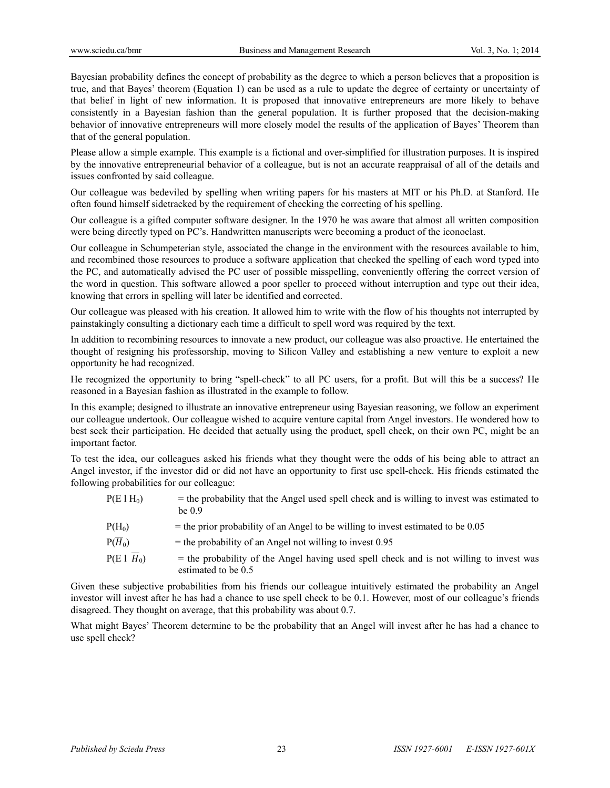Bayesian probability defines the concept of probability as the degree to which a person believes that a proposition is true, and that Bayes' theorem (Equation 1) can be used as a rule to update the degree of certainty or uncertainty of that belief in light of new information. It is proposed that innovative entrepreneurs are more likely to behave consistently in a Bayesian fashion than the general population. It is further proposed that the decision-making behavior of innovative entrepreneurs will more closely model the results of the application of Bayes' Theorem than that of the general population.

Please allow a simple example. This example is a fictional and over-simplified for illustration purposes. It is inspired by the innovative entrepreneurial behavior of a colleague, but is not an accurate reappraisal of all of the details and issues confronted by said colleague.

Our colleague was bedeviled by spelling when writing papers for his masters at MIT or his Ph.D. at Stanford. He often found himself sidetracked by the requirement of checking the correcting of his spelling.

Our colleague is a gifted computer software designer. In the 1970 he was aware that almost all written composition were being directly typed on PC's. Handwritten manuscripts were becoming a product of the iconoclast.

Our colleague in Schumpeterian style, associated the change in the environment with the resources available to him, and recombined those resources to produce a software application that checked the spelling of each word typed into the PC, and automatically advised the PC user of possible misspelling, conveniently offering the correct version of the word in question. This software allowed a poor speller to proceed without interruption and type out their idea, knowing that errors in spelling will later be identified and corrected.

Our colleague was pleased with his creation. It allowed him to write with the flow of his thoughts not interrupted by painstakingly consulting a dictionary each time a difficult to spell word was required by the text.

In addition to recombining resources to innovate a new product, our colleague was also proactive. He entertained the thought of resigning his professorship, moving to Silicon Valley and establishing a new venture to exploit a new opportunity he had recognized.

He recognized the opportunity to bring "spell-check" to all PC users, for a profit. But will this be a success? He reasoned in a Bayesian fashion as illustrated in the example to follow.

In this example; designed to illustrate an innovative entrepreneur using Bayesian reasoning, we follow an experiment our colleague undertook. Our colleague wished to acquire venture capital from Angel investors. He wondered how to best seek their participation. He decided that actually using the product, spell check, on their own PC, might be an important factor.

To test the idea, our colleagues asked his friends what they thought were the odds of his being able to attract an Angel investor, if the investor did or did not have an opportunity to first use spell-check. His friends estimated the following probabilities for our colleague:

- $P(E|H_0)$  = the probability that the Angel used spell check and is willing to invest was estimated to be 0.9
- $P(H_0)$  = the prior probability of an Angel to be willing to invest estimated to be 0.05
- $P(\overline{H}_0)$  = the probability of an Angel not willing to invest 0.95
- $P(E | \overline{H}_0)$  = the probability of the Angel having used spell check and is not willing to invest was estimated to be 0.5

Given these subjective probabilities from his friends our colleague intuitively estimated the probability an Angel investor will invest after he has had a chance to use spell check to be 0.1. However, most of our colleague's friends disagreed. They thought on average, that this probability was about 0.7.

What might Bayes' Theorem determine to be the probability that an Angel will invest after he has had a chance to use spell check?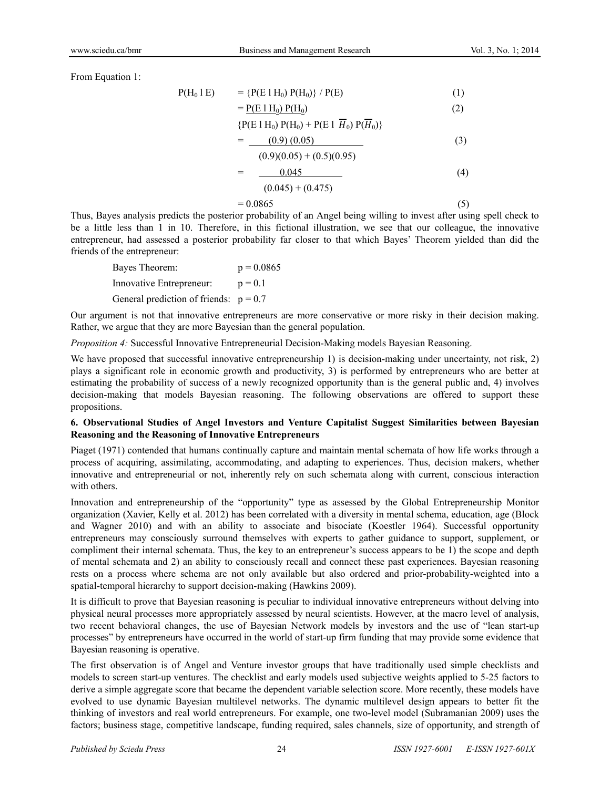From Equation 1:

$$
P(H_0 | E) = {P(E | H_0) P(H_0)} / P(E)
$$
(1)  
= 
$$
P(E | H_0) P(H_0)
$$
(2)

{
$$
P(E 1 H_0) P(H_0) + P(E 1 \overline{H}_0) P(\overline{H}_0)
$$
}

$$
= \underline{\qquad (0.9) (0.05)} \tag{3}
$$

$$
= \frac{(0.9)(0.05) + (0.5)(0.95)}{0.045}
$$
  
= 
$$
\frac{0.045}{(0.045) + (0.475)}
$$
 (4)

$$
= 0.0865 \tag{5}
$$

Thus, Bayes analysis predicts the posterior probability of an Angel being willing to invest after using spell check to be a little less than 1 in 10. Therefore, in this fictional illustration, we see that our colleague, the innovative entrepreneur, had assessed a posterior probability far closer to that which Bayes' Theorem yielded than did the friends of the entrepreneur:

| Bayes Theorem:                           | $p = 0.0865$ |
|------------------------------------------|--------------|
| Innovative Entrepreneur:                 | $p = 0.1$    |
| General prediction of friends: $p = 0.7$ |              |

Our argument is not that innovative entrepreneurs are more conservative or more risky in their decision making. Rather, we argue that they are more Bayesian than the general population.

*Proposition 4:* Successful Innovative Entrepreneurial Decision-Making models Bayesian Reasoning.

We have proposed that successful innovative entrepreneurship 1) is decision-making under uncertainty, not risk, 2) plays a significant role in economic growth and productivity, 3) is performed by entrepreneurs who are better at estimating the probability of success of a newly recognized opportunity than is the general public and, 4) involves decision-making that models Bayesian reasoning. The following observations are offered to support these propositions.

### **6. Observational Studies of Angel Investors and Venture Capitalist Suggest Similarities between Bayesian Reasoning and the Reasoning of Innovative Entrepreneurs**

Piaget (1971) contended that humans continually capture and maintain mental schemata of how life works through a process of acquiring, assimilating, accommodating, and adapting to experiences. Thus, decision makers, whether innovative and entrepreneurial or not, inherently rely on such schemata along with current, conscious interaction with others.

Innovation and entrepreneurship of the "opportunity" type as assessed by the Global Entrepreneurship Monitor organization (Xavier, Kelly et al. 2012) has been correlated with a diversity in mental schema, education, age (Block and Wagner 2010) and with an ability to associate and bisociate (Koestler 1964). Successful opportunity entrepreneurs may consciously surround themselves with experts to gather guidance to support, supplement, or compliment their internal schemata. Thus, the key to an entrepreneur's success appears to be 1) the scope and depth of mental schemata and 2) an ability to consciously recall and connect these past experiences. Bayesian reasoning rests on a process where schema are not only available but also ordered and prior-probability-weighted into a spatial-temporal hierarchy to support decision-making (Hawkins 2009).

It is difficult to prove that Bayesian reasoning is peculiar to individual innovative entrepreneurs without delving into physical neural processes more appropriately assessed by neural scientists. However, at the macro level of analysis, two recent behavioral changes, the use of Bayesian Network models by investors and the use of "lean start-up processes" by entrepreneurs have occurred in the world of start-up firm funding that may provide some evidence that Bayesian reasoning is operative.

The first observation is of Angel and Venture investor groups that have traditionally used simple checklists and models to screen start-up ventures. The checklist and early models used subjective weights applied to 5-25 factors to derive a simple aggregate score that became the dependent variable selection score. More recently, these models have evolved to use dynamic Bayesian multilevel networks. The dynamic multilevel design appears to better fit the thinking of investors and real world entrepreneurs. For example, one two-level model (Subramanian 2009) uses the factors; business stage, competitive landscape, funding required, sales channels, size of opportunity, and strength of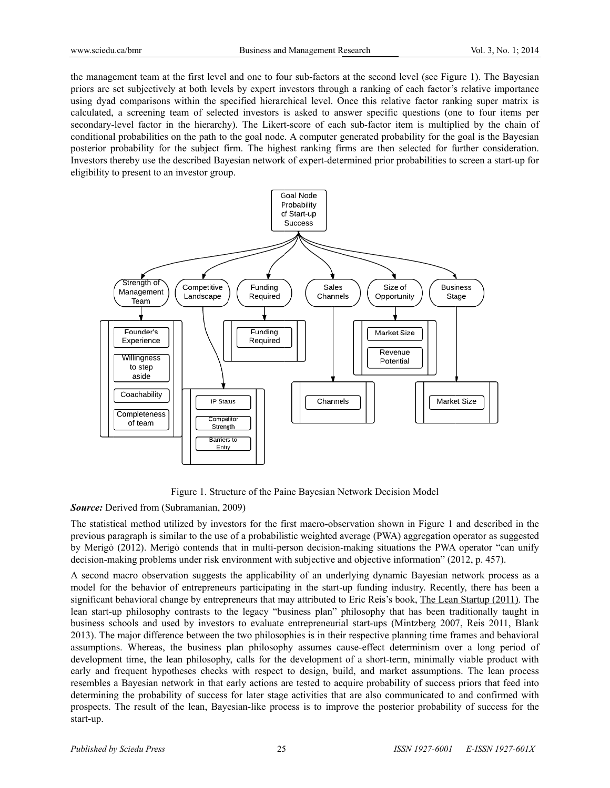the management team at the first level and one to four sub-factors at the second level (see Figure 1). The Bayesian priors are set subjectively at both levels by expert investors through a ranking of each factor's relative importance using dyad comparisons within the specified hierarchical level. Once this relative factor ranking super matrix is calculated, a screening team of selected investors is asked to answer specific questions (one to four items per secondary-level factor in the hierarchy). The Likert-score of each sub-factor item is multiplied by the chain of conditional probabilities on the path to the goal node. A computer generated probability for the goal is the Bayesian posterior probability for the subject firm. The highest ranking firms are then selected for further consideration. Investors thereby use the described Bayesian network of expert-determined prior probabilities to screen a start-up for eligibility to present to an investor group.



Figure 1. Structure of the Paine Bayesian Network Decision Model

**Source:** Derived from (Subramanian, 2009)

The statistical method utilized by investors for the first macro-observation shown in Figure 1 and described in the previous paragraph is similar to the use of a probabilistic weighted average (PWA) aggregation operator as suggested by Merigò (2012). Merigò contends that in multi-person decision-making situations the PWA operator "can unify decision-making problems under risk environment with subjective and objective information" (2012, p. 457).

A second macro observation suggests the applicability of an underlying dynamic Bayesian network process as a model for the behavior of entrepreneurs participating in the start-up funding industry. Recently, there has been a significant behavioral change by entrepreneurs that may attributed to Eric Reis's book, The Lean Startup (2011). The lean start-up philosophy contrasts to the legacy "business plan" philosophy that has been traditionally taught in business schools and used by investors to evaluate entrepreneurial start-ups (Mintzberg 2007, Reis 2011, Blank 2013). The major difference between the two philosophies is in their respective planning time frames and behavioral assumptions. Whereas, the business plan philosophy assumes cause-effect determinism over a long period of development time, the lean philosophy, calls for the development of a short-term, minimally viable product with early and frequent hypotheses checks with respect to design, build, and market assumptions. The lean process resembles a Bayesian network in that early actions are tested to acquire probability of success priors that feed into determining the probability of success for later stage activities that are also communicated to and confirmed with prospects. The result of the lean, Bayesian-like process is to improve the posterior probability of success for the start-up.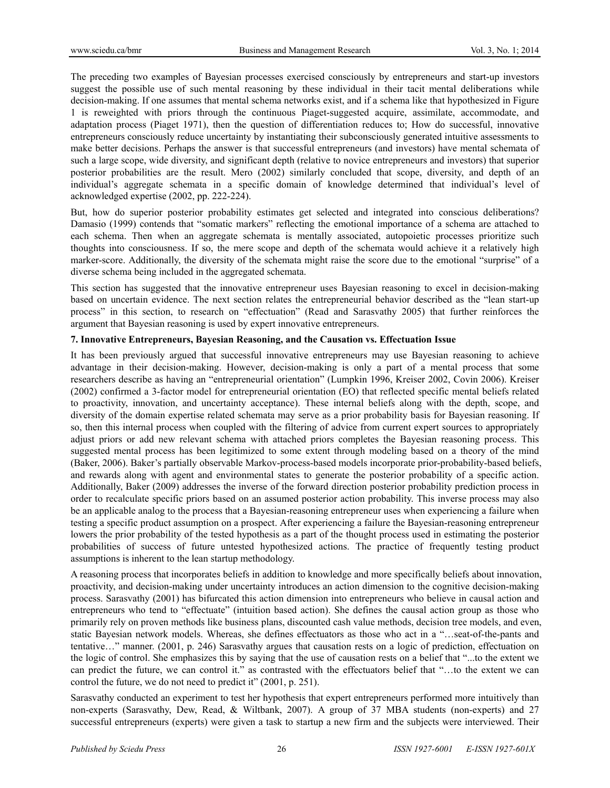The preceding two examples of Bayesian processes exercised consciously by entrepreneurs and start-up investors suggest the possible use of such mental reasoning by these individual in their tacit mental deliberations while decision-making. If one assumes that mental schema networks exist, and if a schema like that hypothesized in Figure 1 is reweighted with priors through the continuous Piaget-suggested acquire, assimilate, accommodate, and adaptation process (Piaget 1971), then the question of differentiation reduces to; How do successful, innovative entrepreneurs consciously reduce uncertainty by instantiating their subconsciously generated intuitive assessments to make better decisions. Perhaps the answer is that successful entrepreneurs (and investors) have mental schemata of such a large scope, wide diversity, and significant depth (relative to novice entrepreneurs and investors) that superior posterior probabilities are the result. Mero (2002) similarly concluded that scope, diversity, and depth of an individual's aggregate schemata in a specific domain of knowledge determined that individual's level of acknowledged expertise (2002, pp. 222-224).

But, how do superior posterior probability estimates get selected and integrated into conscious deliberations? Damasio (1999) contends that "somatic markers" reflecting the emotional importance of a schema are attached to each schema. Then when an aggregate schemata is mentally associated, autopoietic processes prioritize such thoughts into consciousness. If so, the mere scope and depth of the schemata would achieve it a relatively high marker-score. Additionally, the diversity of the schemata might raise the score due to the emotional "surprise" of a diverse schema being included in the aggregated schemata.

This section has suggested that the innovative entrepreneur uses Bayesian reasoning to excel in decision-making based on uncertain evidence. The next section relates the entrepreneurial behavior described as the "lean start-up process" in this section, to research on "effectuation" (Read and Sarasvathy 2005) that further reinforces the argument that Bayesian reasoning is used by expert innovative entrepreneurs.

## **7. Innovative Entrepreneurs, Bayesian Reasoning, and the Causation vs. Effectuation Issue**

It has been previously argued that successful innovative entrepreneurs may use Bayesian reasoning to achieve advantage in their decision-making. However, decision-making is only a part of a mental process that some researchers describe as having an "entrepreneurial orientation" (Lumpkin 1996, Kreiser 2002, Covin 2006). Kreiser (2002) confirmed a 3-factor model for entrepreneurial orientation (EO) that reflected specific mental beliefs related to proactivity, innovation, and uncertainty acceptance). These internal beliefs along with the depth, scope, and diversity of the domain expertise related schemata may serve as a prior probability basis for Bayesian reasoning. If so, then this internal process when coupled with the filtering of advice from current expert sources to appropriately adjust priors or add new relevant schema with attached priors completes the Bayesian reasoning process. This suggested mental process has been legitimized to some extent through modeling based on a theory of the mind (Baker, 2006). Baker's partially observable Markov-process-based models incorporate prior-probability-based beliefs, and rewards along with agent and environmental states to generate the posterior probability of a specific action. Additionally, Baker (2009) addresses the inverse of the forward direction posterior probability prediction process in order to recalculate specific priors based on an assumed posterior action probability. This inverse process may also be an applicable analog to the process that a Bayesian-reasoning entrepreneur uses when experiencing a failure when testing a specific product assumption on a prospect. After experiencing a failure the Bayesian-reasoning entrepreneur lowers the prior probability of the tested hypothesis as a part of the thought process used in estimating the posterior probabilities of success of future untested hypothesized actions. The practice of frequently testing product assumptions is inherent to the lean startup methodology.

A reasoning process that incorporates beliefs in addition to knowledge and more specifically beliefs about innovation, proactivity, and decision-making under uncertainty introduces an action dimension to the cognitive decision-making process. Sarasvathy (2001) has bifurcated this action dimension into entrepreneurs who believe in causal action and entrepreneurs who tend to "effectuate" (intuition based action). She defines the causal action group as those who primarily rely on proven methods like business plans, discounted cash value methods, decision tree models, and even, static Bayesian network models. Whereas, she defines effectuators as those who act in a "…seat-of-the-pants and tentative…" manner. (2001, p. 246) Sarasvathy argues that causation rests on a logic of prediction, effectuation on the logic of control. She emphasizes this by saying that the use of causation rests on a belief that "...to the extent we can predict the future, we can control it." as contrasted with the effectuators belief that "…to the extent we can control the future, we do not need to predict it" (2001, p. 251).

Sarasvathy conducted an experiment to test her hypothesis that expert entrepreneurs performed more intuitively than non-experts (Sarasvathy, Dew, Read, & Wiltbank, 2007). A group of 37 MBA students (non-experts) and 27 successful entrepreneurs (experts) were given a task to startup a new firm and the subjects were interviewed. Their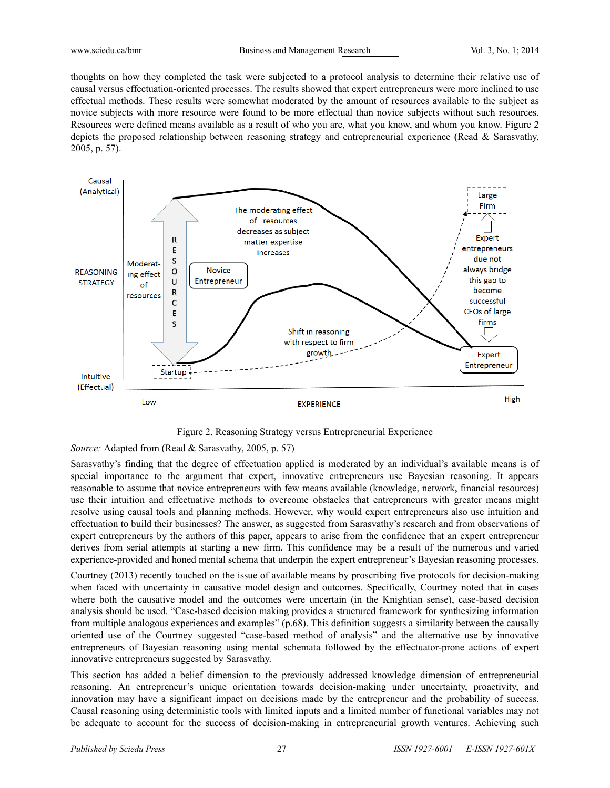thoughts on how they completed the task were subjected to a protocol analysis to determine their relative use of causal versus effectuation-oriented processes. The results showed that expert entrepreneurs were more inclined to use effectual methods. These results were somewhat moderated by the amount of resources available to the subject as novice subjects with more resource were found to be more effectual than novice subjects without such resources. Resources were defined means available as a result of who you are, what you know, and whom you know. Figure 2 depicts the proposed relationship between reasoning strategy and entrepreneurial experience (Read & Sarasyathy, 2005, p. 57).



Figure 2. Reasoning Strategy versus Entrepreneurial Experience

Source: Adapted from (Read & Sarasvathy, 2005, p. 57)

Sarasvathy's finding that the degree of effectuation applied is moderated by an individual's available means is of special importance to the argument that expert, innovative entrepreneurs use Bayesian reasoning. It appears reasonable to assume that novice entrepreneurs with few means available (knowledge, network, financial resources) use their intuition and effectuative methods to overcome obstacles that entrepreneurs with greater means might resolve using causal tools and planning methods. However, why would expert entrepreneurs also use intuition and effectuation to build their businesses? The answer, as suggested from Sarasvathy's research and from observations of expert entrepreneurs by the authors of this paper, appears to arise from the confidence that an expert entrepreneur derives from serial attempts at starting a new firm. This confidence may be a result of the numerous and varied experience-provided and honed mental schema that underpin the expert entrepreneur's Bayesian reasoning processes.

Courtney (2013) recently touched on the issue of available means by proscribing five protocols for decision-making when faced with uncertainty in causative model design and outcomes. Specifically, Courtney noted that in cases where both the causative model and the outcomes were uncertain (in the Knightian sense), case-based decision analysis should be used. "Case-based decision making provides a structured framework for synthesizing information from multiple analogous experiences and examples" (p.68). This definition suggests a similarity between the causally oriented use of the Courtney suggested "case-based method of analysis" and the alternative use by innovative entrepreneurs of Bayesian reasoning using mental schemata followed by the effectuator-prone actions of expert innovative entrepreneurs suggested by Sarasvathy.

This section has added a belief dimension to the previously addressed knowledge dimension of entrepreneurial reasoning. An entrepreneur's unique orientation towards decision-making under uncertainty, proactivity, and innovation may have a significant impact on decisions made by the entrepreneur and the probability of success. Causal reasoning using deterministic tools with limited inputs and a limited number of functional variables may not be adequate to account for the success of decision-making in entrepreneurial growth ventures. Achieving such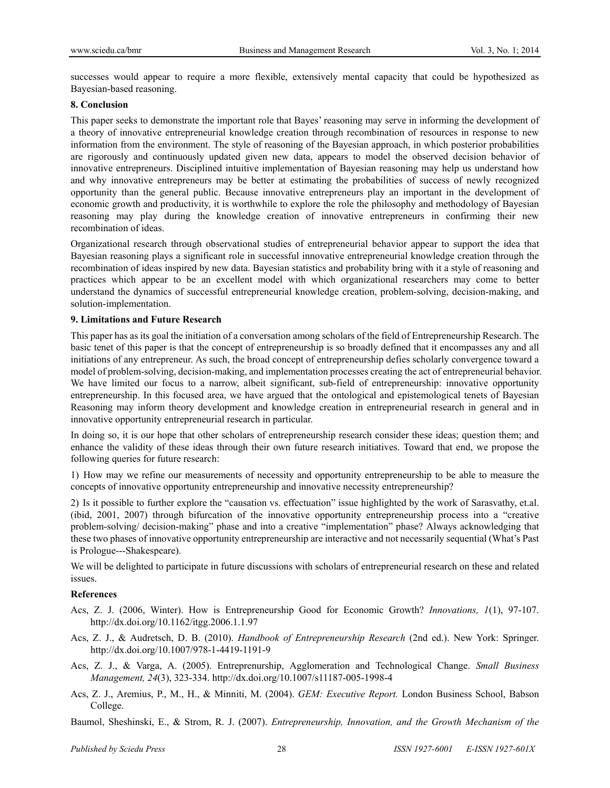successes would appear to require a more flexible, extensively mental capacity that could be hypothesized as Bayesian-based reasoning.

#### **8. Conclusion**

This paper seeks to demonstrate the important role that Bayes' reasoning may serve in informing the development of a theory of innovative entrepreneurial knowledge creation through recombination of resources in response to new information from the environment. The style of reasoning of the Bayesian approach, in which posterior probabilities are rigorously and continuously updated given new data, appears to model the observed decision behavior of innovative entrepreneurs. Disciplined intuitive implementation of Bayesian reasoning may help us understand how and why innovative entrepreneurs may be better at estimating the probabilities of success of newly recognized opportunity than the general public. Because innovative entrepreneurs play an important in the development of economic growth and productivity, it is worthwhile to explore the role the philosophy and methodology of Bayesian reasoning may play during the knowledge creation of innovative entrepreneurs in confirming their new recombination of ideas.

Organizational research through observational studies of entrepreneurial behavior appear to support the idea that Bayesian reasoning plays a significant role in successful innovative entrepreneurial knowledge creation through the recombination of ideas inspired by new data. Bayesian statistics and probability bring with it a style of reasoning and practices which appear to be an excellent model with which organizational researchers may come to better understand the dynamics of successful entrepreneurial knowledge creation, problem-solving, decision-making, and solution-implementation.

#### **9. Limitations and Future Research**

This paper has as its goal the initiation of a conversation among scholars of the field of Entrepreneurship Research. The basic tenet of this paper is that the concept of entrepreneurship is so broadly defined that it encompasses any and all initiations of any entrepreneur. As such, the broad concept of entrepreneurship defies scholarly convergence toward a model of problem-solving, decision-making, and implementation processes creating the act of entrepreneurial behavior. We have limited our focus to a narrow, albeit significant, sub-field of entrepreneurship: innovative opportunity entrepreneurship. In this focused area, we have argued that the ontological and epistemological tenets of Bayesian Reasoning may inform theory development and knowledge creation in entrepreneurial research in general and in innovative opportunity entrepreneurial research in particular.

In doing so, it is our hope that other scholars of entrepreneurship research consider these ideas; question them; and enhance the validity of these ideas through their own future research initiatives. Toward that end, we propose the following queries for future research:

1) How may we refine our measurements of necessity and opportunity entrepreneurship to be able to measure the concepts of innovative opportunity entrepreneurship and innovative necessity entrepreneurship?

2) Is it possible to further explore the "causation vs. effectuation" issue highlighted by the work of Sarasvathy, et.al. (ibid, 2001, 2007) through bifurcation of the innovative opportunity entrepreneurship process into a "creative problem-solving/ decision-making" phase and into a creative "implementation" phase? Always acknowledging that these two phases of innovative opportunity entrepreneurship are interactive and not necessarily sequential (What's Past is Prologue---Shakespeare).

We will be delighted to participate in future discussions with scholars of entrepreneurial research on these and related issues.

#### **References**

- Acs, Z. J. (2006, Winter). How is Entrepreneurship Good for Economic Growth? *Innovations, 1*(1), 97-107. http://dx.doi.org/10.1162/itgg.2006.1.1.97
- Acs, Z. J., & Audretsch, D. B. (2010). *Handbook of Entrepreneurship Research* (2nd ed.). New York: Springer. http://dx.doi.org/10.1007/978-1-4419-1191-9
- Acs, Z. J., & Varga, A. (2005). Entreprenurship, Agglomeration and Technological Change. *Small Business Management, 24*(3), 323-334. http://dx.doi.org/10.1007/s11187-005-1998-4
- Acs, Z. J., Aremius, P., M., H., & Minniti, M. (2004). *GEM: Executive Report.* London Business School, Babson College.

Baumol, Sheshinski, E., & Strom, R. J. (2007). *Entrepreneurship, Innovation, and the Growth Mechanism of the*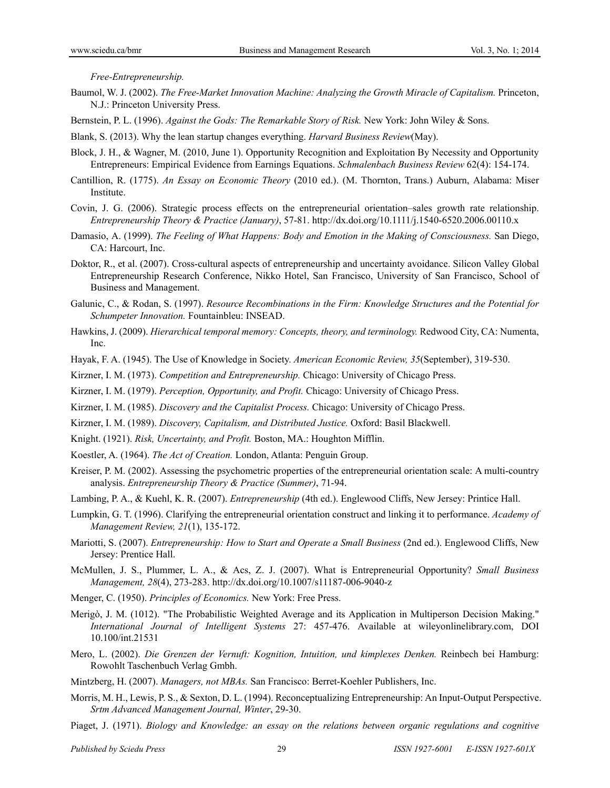*Free-Entrepreneurship.*

- Baumol, W. J. (2002). *The Free-Market Innovation Machine: Analyzing the Growth Miracle of Capitalism.* Princeton, N.J.: Princeton University Press.
- Bernstein, P. L. (1996). *Against the Gods: The Remarkable Story of Risk.* New York: John Wiley & Sons.
- Blank, S. (2013). Why the lean startup changes everything. *Harvard Business Review*(May).
- Block, J. H., & Wagner, M. (2010, June 1). Opportunity Recognition and Exploitation By Necessity and Opportunity Entrepreneurs: Empirical Evidence from Earnings Equations. *Schmalenbach Business Review* 62(4): 154-174.
- Cantillion, R. (1775). *An Essay on Economic Theory* (2010 ed.). (M. Thornton, Trans.) Auburn, Alabama: Miser Institute.
- Covin, J. G. (2006). Strategic process effects on the entrepreneurial orientation–sales growth rate relationship. *Entrepreneurship Theory & Practice (January)*, 57-81. http://dx.doi.org/10.1111/j.1540-6520.2006.00110.x
- Damasio, A. (1999). *The Feeling of What Happens: Body and Emotion in the Making of Consciousness.* San Diego, CA: Harcourt, Inc.
- Doktor, R., et al. (2007). Cross-cultural aspects of entrepreneurship and uncertainty avoidance. Silicon Valley Global Entrepreneurship Research Conference, Nikko Hotel, San Francisco, University of San Francisco, School of Business and Management.
- Galunic, C., & Rodan, S. (1997). *Resource Recombinations in the Firm: Knowledge Structures and the Potential for Schumpeter Innovation.* Fountainbleu: INSEAD.
- Hawkins, J. (2009). *Hierarchical temporal memory: Concepts, theory, and terminology.* Redwood City, CA: Numenta, Inc.
- Hayak, F. A. (1945). The Use of Knowledge in Society. *American Economic Review, 35*(September), 319-530.
- Kirzner, I. M. (1973). *Competition and Entrepreneurship.* Chicago: University of Chicago Press.
- Kirzner, I. M. (1979). *Perception, Opportunity, and Profit.* Chicago: University of Chicago Press.
- Kirzner, I. M. (1985). *Discovery and the Capitalist Process.* Chicago: University of Chicago Press.
- Kirzner, I. M. (1989). *Discovery, Capitalism, and Distributed Justice.* Oxford: Basil Blackwell.
- Knight. (1921). *Risk, Uncertainty, and Profit.* Boston, MA.: Houghton Mifflin.
- Koestler, A. (1964). *The Act of Creation.* London, Atlanta: Penguin Group.
- Kreiser, P. M. (2002). Assessing the psychometric properties of the entrepreneurial orientation scale: A multi-country analysis. *Entrepreneurship Theory & Practice (Summer)*, 71-94.
- Lambing, P. A., & Kuehl, K. R. (2007). *Entrepreneurship* (4th ed.). Englewood Cliffs, New Jersey: Printice Hall.
- Lumpkin, G. T. (1996). Clarifying the entrepreneurial orientation construct and linking it to performance. *Academy of Management Review, 21*(1), 135-172.
- Mariotti, S. (2007). *Entrepreneurship: How to Start and Operate a Small Business* (2nd ed.). Englewood Cliffs, New Jersey: Prentice Hall.
- McMullen, J. S., Plummer, L. A., & Acs, Z. J. (2007). What is Entrepreneurial Opportunity? *Small Business Management, 28*(4), 273-283. http://dx.doi.org/10.1007/s11187-006-9040-z
- Menger, C. (1950). *Principles of Economics.* New York: Free Press.
- Merigò, J. M. (1012). "The Probabilistic Weighted Average and its Application in Multiperson Decision Making." *International Journal of Intelligent Systems* 27: 457-476. Available at wileyonlinelibrary.com, DOI 10.100/int.21531
- Mero, L. (2002). *Die Grenzen der Vernuft: Kognition, Intuition, und kimplexes Denken.* Reinbech bei Hamburg: Rowohlt Taschenbuch Verlag Gmbh.
- Mintzberg, H. (2007). *Managers, not MBAs.* San Francisco: Berret-Koehler Publishers, Inc.
- Morris, M. H., Lewis, P. S., & Sexton, D. L. (1994). Reconceptualizing Entrepreneurship: An Input-Output Perspective. *Srtm Advanced Management Journal, Winter*, 29-30.
- Piaget, J. (1971). *Biology and Knowledge: an essay on the relations between organic regulations and cognitive*